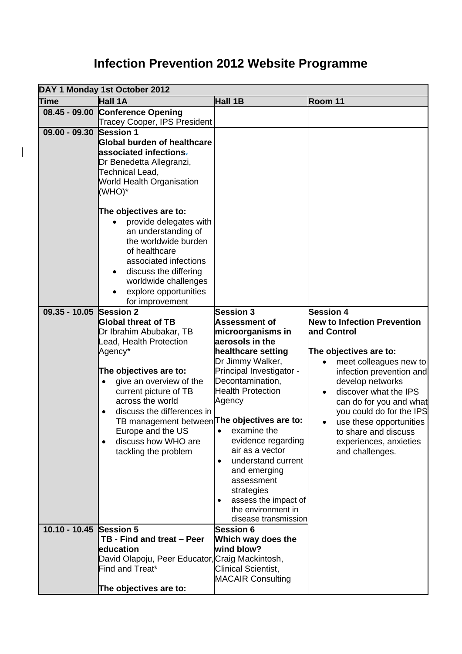## **Infection Prevention 2012 Website Programme**

 $\overline{\phantom{a}}$ 

|                         | DAY 1 Monday 1st October 2012                                                                                                                                                                                                                                                                                                                                                    |                                                                                                                                                                                                                                                                                                                                                                                                                                 |                                                                                                                                                                                                                                                                                                                                                           |  |
|-------------------------|----------------------------------------------------------------------------------------------------------------------------------------------------------------------------------------------------------------------------------------------------------------------------------------------------------------------------------------------------------------------------------|---------------------------------------------------------------------------------------------------------------------------------------------------------------------------------------------------------------------------------------------------------------------------------------------------------------------------------------------------------------------------------------------------------------------------------|-----------------------------------------------------------------------------------------------------------------------------------------------------------------------------------------------------------------------------------------------------------------------------------------------------------------------------------------------------------|--|
| Time                    | Hall 1A                                                                                                                                                                                                                                                                                                                                                                          | Hall 1B                                                                                                                                                                                                                                                                                                                                                                                                                         | Room 11                                                                                                                                                                                                                                                                                                                                                   |  |
|                         | 08.45 - 09.00 Conference Opening<br><b>Tracey Cooper, IPS President</b>                                                                                                                                                                                                                                                                                                          |                                                                                                                                                                                                                                                                                                                                                                                                                                 |                                                                                                                                                                                                                                                                                                                                                           |  |
| $09.00 - 09.30$         | <b>Session 1</b><br><b>Global burden of healthcare</b><br>associated infections <del>.</del><br>Dr Benedetta Allegranzi,<br><b>Technical Lead,</b><br><b>World Health Organisation</b><br>(WHO)*                                                                                                                                                                                 |                                                                                                                                                                                                                                                                                                                                                                                                                                 |                                                                                                                                                                                                                                                                                                                                                           |  |
|                         | The objectives are to:<br>provide delegates with<br>an understanding of<br>the worldwide burden<br>of healthcare<br>associated infections<br>discuss the differing<br>worldwide challenges<br>explore opportunities<br>for improvement                                                                                                                                           |                                                                                                                                                                                                                                                                                                                                                                                                                                 |                                                                                                                                                                                                                                                                                                                                                           |  |
| $09.35 - 10.05$         | <b>Session 2</b><br><b>Global threat of TB</b><br>Dr Ibrahim Abubakar, TB<br>Lead, Health Protection<br>Agency*<br>The objectives are to:<br>give an overview of the<br>current picture of TB<br>across the world<br>discuss the differences in<br>TB management between The objectives are to:<br>Europe and the US<br>discuss how WHO are<br>$\bullet$<br>tackling the problem | <b>Session 3</b><br><b>Assessment of</b><br>microorganisms in<br>aerosols in the<br>healthcare setting<br>Dr Jimmy Walker,<br>Principal Investigator -<br>Decontamination,<br><b>Health Protection</b><br>Agency<br>• examine the<br>evidence regarding<br>air as a vector<br>understand current<br>$\bullet$<br>and emerging<br>assessment<br>strategies<br>assess the impact of<br>the environment in<br>disease transmission | <b>Session 4</b><br><b>New to Infection Prevention</b><br>and Control<br>The objectives are to:<br>meet colleagues new to<br>infection prevention and<br>develop networks<br>discover what the IPS<br>can do for you and what<br>you could do for the IPS<br>use these opportunities<br>to share and discuss<br>experiences, anxieties<br>and challenges. |  |
| 10.10 - 10.45 Session 5 | TB - Find and treat - Peer<br>education<br>David Olapoju, Peer Educator, Craig Mackintosh,<br>Find and Treat*<br>The objectives are to:                                                                                                                                                                                                                                          | <b>Session 6</b><br>Which way does the<br>wind blow?<br><b>Clinical Scientist,</b><br><b>MACAIR Consulting</b>                                                                                                                                                                                                                                                                                                                  |                                                                                                                                                                                                                                                                                                                                                           |  |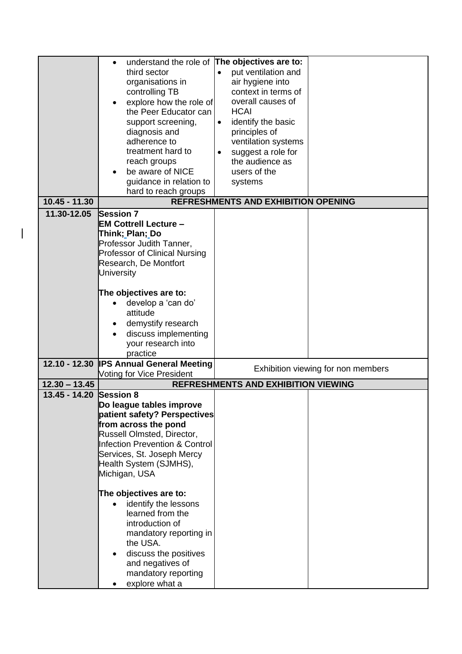|                 | $\bullet$                            | understand the role of The objectives are to: |                                    |
|-----------------|--------------------------------------|-----------------------------------------------|------------------------------------|
|                 | third sector                         | put ventilation and                           |                                    |
|                 | organisations in                     | air hygiene into                              |                                    |
|                 | controlling TB                       | context in terms of                           |                                    |
|                 | explore how the role of              | overall causes of                             |                                    |
|                 | the Peer Educator can                | <b>HCAI</b>                                   |                                    |
|                 | support screening,                   | identify the basic<br>$\bullet$               |                                    |
|                 | diagnosis and                        | principles of                                 |                                    |
|                 | adherence to                         | ventilation systems                           |                                    |
|                 | treatment hard to                    | suggest a role for                            |                                    |
|                 | reach groups                         | the audience as                               |                                    |
|                 | be aware of NICE                     | users of the                                  |                                    |
|                 | guidance in relation to              | systems                                       |                                    |
|                 | hard to reach groups                 |                                               |                                    |
| $10.45 - 11.30$ |                                      | <b>REFRESHMENTS AND EXHIBITION OPENING</b>    |                                    |
| 11.30-12.05     | <b>Session 7</b>                     |                                               |                                    |
|                 | <b>EM Cottrell Lecture -</b>         |                                               |                                    |
|                 | Think; Plan; Do                      |                                               |                                    |
|                 | Professor Judith Tanner,             |                                               |                                    |
|                 | <b>Professor of Clinical Nursing</b> |                                               |                                    |
|                 | Research, De Montfort                |                                               |                                    |
|                 | <b>University</b>                    |                                               |                                    |
|                 |                                      |                                               |                                    |
|                 | The objectives are to:               |                                               |                                    |
|                 | develop a 'can do'                   |                                               |                                    |
|                 | attitude                             |                                               |                                    |
|                 | demystify research                   |                                               |                                    |
|                 | discuss implementing                 |                                               |                                    |
|                 | your research into<br>practice       |                                               |                                    |
| 12.10 - 12.30   | <b>IPS Annual General Meeting</b>    |                                               |                                    |
|                 | Voting for Vice President            |                                               | Exhibition viewing for non members |
| $12.30 - 13.45$ |                                      | <b>REFRESHMENTS AND EXHIBITION VIEWING</b>    |                                    |
| $13.45 - 14.20$ | <b>Session 8</b>                     |                                               |                                    |
|                 | Do league tables improve             |                                               |                                    |
|                 | patient safety? Perspectives         |                                               |                                    |
|                 | from across the pond                 |                                               |                                    |
|                 | Russell Olmsted, Director,           |                                               |                                    |
|                 | Infection Prevention & Control       |                                               |                                    |
|                 | Services, St. Joseph Mercy           |                                               |                                    |
|                 | Health System (SJMHS),               |                                               |                                    |
|                 | Michigan, USA                        |                                               |                                    |
|                 |                                      |                                               |                                    |
|                 | The objectives are to:               |                                               |                                    |
|                 | identify the lessons                 |                                               |                                    |
|                 | learned from the                     |                                               |                                    |
|                 | introduction of                      |                                               |                                    |
|                 | mandatory reporting in<br>the USA.   |                                               |                                    |
|                 |                                      |                                               |                                    |
|                 | discuss the positives                |                                               |                                    |
|                 | and negatives of                     |                                               |                                    |
|                 | mandatory reporting                  |                                               |                                    |
|                 | explore what a                       |                                               |                                    |

 $\begin{array}{c} \begin{array}{c} \end{array} \end{array}$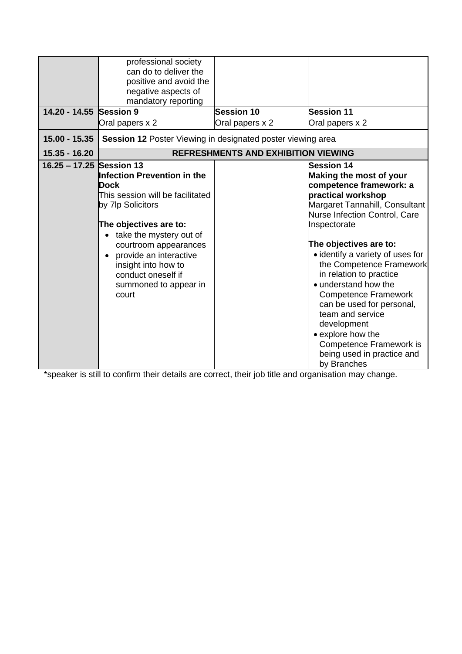| 14.20 - 14.55 Session 9<br>$15.00 - 15.35$ | professional society<br>can do to deliver the<br>positive and avoid the<br>negative aspects of<br>mandatory reporting<br>Oral papers x 2                                                                                                                                            | <b>Session 10</b><br>Oral papers x 2       | <b>Session 11</b><br>Oral papers x 2                                                                                                                                                                                                                                                                                                                                                                                                                                                                                      |
|--------------------------------------------|-------------------------------------------------------------------------------------------------------------------------------------------------------------------------------------------------------------------------------------------------------------------------------------|--------------------------------------------|---------------------------------------------------------------------------------------------------------------------------------------------------------------------------------------------------------------------------------------------------------------------------------------------------------------------------------------------------------------------------------------------------------------------------------------------------------------------------------------------------------------------------|
| $15.35 - 16.20$                            | Session 12 Poster Viewing in designated poster viewing area                                                                                                                                                                                                                         | <b>REFRESHMENTS AND EXHIBITION VIEWING</b> |                                                                                                                                                                                                                                                                                                                                                                                                                                                                                                                           |
| 16.25 - 17.25 Session 13                   | Infection Prevention in the<br>Dock<br>This session will be facilitated<br>by 7lp Solicitors<br>The objectives are to:<br>take the mystery out of<br>courtroom appearances<br>provide an interactive<br>insight into how to<br>conduct oneself if<br>summoned to appear in<br>court |                                            | <b>Session 14</b><br>Making the most of your<br>competence framework: a<br>practical workshop<br>Margaret Tannahill, Consultant<br>Nurse Infection Control, Care<br>Inspectorate<br>The objectives are to:<br>• identify a variety of uses for<br>the Competence Framework<br>in relation to practice<br>• understand how the<br><b>Competence Framework</b><br>can be used for personal,<br>team and service<br>development<br>• explore how the<br>Competence Framework is<br>being used in practice and<br>by Branches |

\*speaker is still to confirm their details are correct, their job title and organisation may change.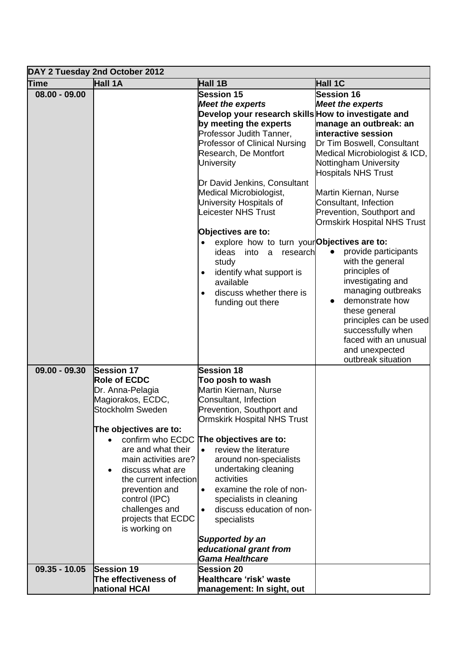|                 | DAY 2 Tuesday 2nd October 2012                                                                                                                                                                                                                                                                                                                    |                                                                                                                                                                                                                                                                                                                                                                                                                                                   |                                                                                                                                                                                                                                                                                                                                          |  |
|-----------------|---------------------------------------------------------------------------------------------------------------------------------------------------------------------------------------------------------------------------------------------------------------------------------------------------------------------------------------------------|---------------------------------------------------------------------------------------------------------------------------------------------------------------------------------------------------------------------------------------------------------------------------------------------------------------------------------------------------------------------------------------------------------------------------------------------------|------------------------------------------------------------------------------------------------------------------------------------------------------------------------------------------------------------------------------------------------------------------------------------------------------------------------------------------|--|
| <b>Time</b>     | Hall 1A                                                                                                                                                                                                                                                                                                                                           | Hall 1B                                                                                                                                                                                                                                                                                                                                                                                                                                           | Hall 1C                                                                                                                                                                                                                                                                                                                                  |  |
| $08.00 - 09.00$ |                                                                                                                                                                                                                                                                                                                                                   | <b>Session 15</b><br><b>Meet the experts</b><br>Develop your research skills How to investigate and<br>by meeting the experts<br>Professor Judith Tanner,<br><b>Professor of Clinical Nursing</b><br>Research, De Montfort<br><b>University</b><br>Dr David Jenkins, Consultant<br>Medical Microbiologist,<br>University Hospitals of<br>Leicester NHS Trust<br>Objectives are to:                                                                | <b>Session 16</b><br><b>Meet the experts</b><br>manage an outbreak: an<br>interactive session<br>Dr Tim Boswell, Consultant<br>Medical Microbiologist & ICD,<br>Nottingham University<br><b>Hospitals NHS Trust</b><br>Martin Kiernan, Nurse<br>Consultant, Infection<br>Prevention, Southport and<br><b>Ormskirk Hospital NHS Trust</b> |  |
|                 |                                                                                                                                                                                                                                                                                                                                                   | explore how to turn your Objectives are to:<br>ideas<br>into<br>a<br>research<br>study<br>identify what support is<br>$\bullet$<br>available<br>discuss whether there is<br>funding out there                                                                                                                                                                                                                                                     | provide participants<br>with the general<br>principles of<br>investigating and<br>managing outbreaks<br>demonstrate how<br>$\bullet$<br>these general<br>principles can be used<br>successfully when<br>faced with an unusual<br>and unexpected<br>outbreak situation                                                                    |  |
| $09.00 - 09.30$ | <b>Session 17</b><br><b>Role of ECDC</b><br>Dr. Anna-Pelagia<br>Magiorakos, ECDC,<br><b>Stockholm Sweden</b><br>The objectives are to:<br>confirm who ECDC<br>are and what their<br>main activities are?<br>discuss what are<br>the current infection<br>prevention and<br>control (IPC)<br>challenges and<br>projects that ECDC<br>is working on | <b>Session 18</b><br>Too posh to wash<br>Martin Kiernan, Nurse<br>Consultant, Infection<br>Prevention, Southport and<br><b>Ormskirk Hospital NHS Trust</b><br>The objectives are to:<br>review the literature<br>around non-specialists<br>undertaking cleaning<br>activities<br>examine the role of non-<br>$\bullet$<br>specialists in cleaning<br>discuss education of non-<br>specialists<br><b>Supported by an</b><br>educational grant from |                                                                                                                                                                                                                                                                                                                                          |  |
| $09.35 - 10.05$ | <b>Session 19</b><br>The effectiveness of<br>national HCAI                                                                                                                                                                                                                                                                                        | <b>Gama Healthcare</b><br><b>Session 20</b><br>Healthcare 'risk' waste<br>management: In sight, out                                                                                                                                                                                                                                                                                                                                               |                                                                                                                                                                                                                                                                                                                                          |  |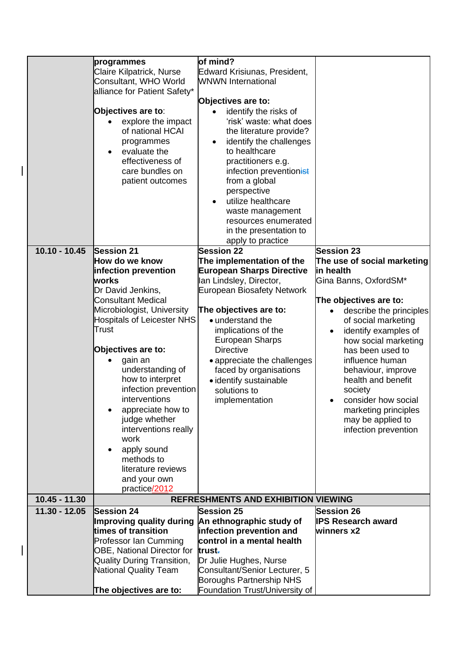|                 | programmes                        | of mind?                                                          |                                      |
|-----------------|-----------------------------------|-------------------------------------------------------------------|--------------------------------------|
|                 | Claire Kilpatrick, Nurse          | Edward Krisiunas, President,                                      |                                      |
|                 | Consultant, WHO World             | <b>WNWN International</b>                                         |                                      |
|                 | alliance for Patient Safety*      |                                                                   |                                      |
|                 |                                   | Objectives are to:                                                |                                      |
|                 | Objectives are to:                | identify the risks of                                             |                                      |
|                 | explore the impact                | 'risk' waste: what does                                           |                                      |
|                 | of national HCAI                  | the literature provide?                                           |                                      |
|                 | programmes                        | identify the challenges                                           |                                      |
|                 | evaluate the                      | to healthcare                                                     |                                      |
|                 | effectiveness of                  | practitioners e.g.                                                |                                      |
|                 | care bundles on                   | infection preventionist                                           |                                      |
|                 | patient outcomes                  | from a global                                                     |                                      |
|                 |                                   | perspective                                                       |                                      |
|                 |                                   | utilize healthcare                                                |                                      |
|                 |                                   | waste management                                                  |                                      |
|                 |                                   | resources enumerated                                              |                                      |
|                 |                                   | in the presentation to                                            |                                      |
|                 |                                   | apply to practice                                                 |                                      |
| $10.10 - 10.45$ | <b>Session 21</b>                 | <b>Session 22</b>                                                 | <b>Session 23</b>                    |
|                 | How do we know                    | The implementation of the                                         | The use of social marketing          |
|                 | infection prevention              | <b>European Sharps Directive</b>                                  | in health                            |
|                 | works                             | Ian Lindsley, Director,                                           | Gina Banns, OxfordSM*                |
|                 | Dr David Jenkins,                 | European Biosafety Network                                        |                                      |
|                 | <b>Consultant Medical</b>         |                                                                   | The objectives are to:               |
|                 | Microbiologist, University        | The objectives are to:                                            | describe the principles<br>$\bullet$ |
|                 | Hospitals of Leicester NHS        | • understand the                                                  | of social marketing                  |
|                 | Trust                             | implications of the                                               | identify examples of<br>$\bullet$    |
|                 |                                   | <b>European Sharps</b>                                            | how social marketing                 |
|                 | Objectives are to:                | <b>Directive</b>                                                  | has been used to                     |
|                 | gain an                           | • appreciate the challenges                                       | influence human                      |
|                 | understanding of                  | faced by organisations                                            | behaviour, improve                   |
|                 | how to interpret                  | • identify sustainable                                            | health and benefit                   |
|                 | infection prevention              | solutions to                                                      | society                              |
|                 | interventions                     | implementation                                                    | consider how social                  |
|                 | appreciate how to                 |                                                                   | marketing principles                 |
|                 | judge whether                     |                                                                   | may be applied to                    |
|                 | interventions really              |                                                                   | infection prevention                 |
|                 | work                              |                                                                   |                                      |
|                 | apply sound                       |                                                                   |                                      |
|                 | methods to                        |                                                                   |                                      |
|                 | literature reviews                |                                                                   |                                      |
|                 | and your own                      |                                                                   |                                      |
|                 | practice/2012                     |                                                                   |                                      |
| $10.45 - 11.30$ |                                   | <b>REFRESHMENTS AND EXHIBITION VIEWING</b>                        |                                      |
| $11.30 - 12.05$ | <b>Session 24</b>                 | <b>Session 25</b>                                                 | <b>Session 26</b>                    |
|                 | Improving quality during          | An ethnographic study of                                          | <b>IPS Research award</b>            |
|                 | times of transition               | infection prevention and                                          | winners x2                           |
|                 | <b>Professor Ian Cumming</b>      | control in a mental health                                        |                                      |
|                 | <b>OBE, National Director for</b> | trust-                                                            |                                      |
|                 | <b>Quality During Transition,</b> | Dr Julie Hughes, Nurse                                            |                                      |
|                 | <b>National Quality Team</b>      | Consultant/Senior Lecturer, 5                                     |                                      |
|                 |                                   |                                                                   |                                      |
|                 | The objectives are to:            | <b>Boroughs Partnership NHS</b><br>Foundation Trust/University of |                                      |

 $\overline{\phantom{a}}$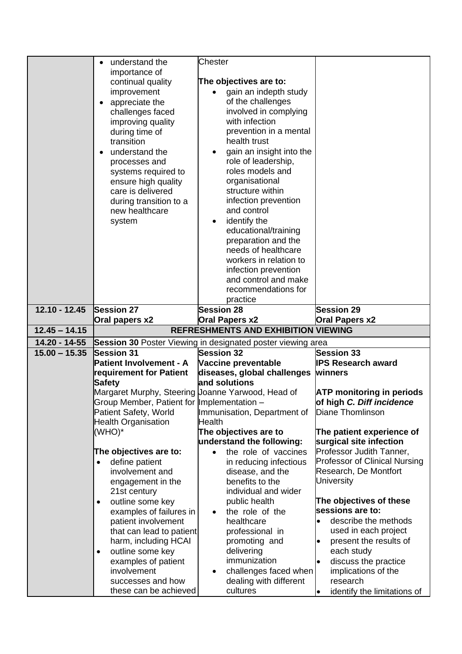|                 | understand the<br>importance of<br>continual quality<br>improvement<br>appreciate the<br>challenges faced<br>improving quality<br>during time of<br>transition<br>understand the<br>processes and<br>systems required to<br>ensure high quality<br>care is delivered<br>during transition to a<br>new healthcare<br>system | <b>Chester</b><br>The objectives are to:<br>gain an indepth study<br>of the challenges<br>involved in complying<br>with infection<br>prevention in a mental<br>health trust<br>gain an insight into the<br>role of leadership,<br>roles models and<br>organisational<br>structure within<br>infection prevention<br>and control<br>identify the<br>educational/training<br>preparation and the<br>needs of healthcare<br>workers in relation to<br>infection prevention<br>and control and make<br>recommendations for<br>practice |                                                                                                                                                                                                                                            |
|-----------------|----------------------------------------------------------------------------------------------------------------------------------------------------------------------------------------------------------------------------------------------------------------------------------------------------------------------------|------------------------------------------------------------------------------------------------------------------------------------------------------------------------------------------------------------------------------------------------------------------------------------------------------------------------------------------------------------------------------------------------------------------------------------------------------------------------------------------------------------------------------------|--------------------------------------------------------------------------------------------------------------------------------------------------------------------------------------------------------------------------------------------|
| $12.10 - 12.45$ | <b>Session 27</b><br>Oral papers x2                                                                                                                                                                                                                                                                                        | <b>Session 28</b><br><b>Oral Papers x2</b>                                                                                                                                                                                                                                                                                                                                                                                                                                                                                         | <b>Session 29</b><br>Oral Papers x2                                                                                                                                                                                                        |
| $12.45 - 14.15$ |                                                                                                                                                                                                                                                                                                                            | <b>REFRESHMENTS AND EXHIBITION VIEWING</b>                                                                                                                                                                                                                                                                                                                                                                                                                                                                                         |                                                                                                                                                                                                                                            |
| 14.20 - 14-55   |                                                                                                                                                                                                                                                                                                                            | Session 30 Poster Viewing in designated poster viewing area                                                                                                                                                                                                                                                                                                                                                                                                                                                                        |                                                                                                                                                                                                                                            |
| $15.00 - 15.35$ | <b>Session 31</b><br><b>Patient Involvement - A</b><br>requirement for Patient<br><b>Safety</b>                                                                                                                                                                                                                            | <b>Session 32</b><br>Vaccine preventable<br>diseases, global challenges winners<br>and solutions                                                                                                                                                                                                                                                                                                                                                                                                                                   | <b>Session 33</b><br><b>IPS Research award</b>                                                                                                                                                                                             |
|                 | Margaret Murphy, Steering Joanne Yarwood, Head of<br>Group Member, Patient for Implementation -                                                                                                                                                                                                                            |                                                                                                                                                                                                                                                                                                                                                                                                                                                                                                                                    | <b>ATP monitoring in periods</b><br>of high C. Diff incidence                                                                                                                                                                              |
|                 | Patient Safety, World<br><b>Health Organisation</b>                                                                                                                                                                                                                                                                        | Immunisation, Department of<br>Health                                                                                                                                                                                                                                                                                                                                                                                                                                                                                              | Diane Thomlinson                                                                                                                                                                                                                           |
|                 | (WHO)*                                                                                                                                                                                                                                                                                                                     | The objectives are to<br>understand the following:                                                                                                                                                                                                                                                                                                                                                                                                                                                                                 | The patient experience of<br>surgical site infection                                                                                                                                                                                       |
|                 | The objectives are to:<br>define patient<br>$\bullet$<br>involvement and<br>engagement in the<br>21st century                                                                                                                                                                                                              | the role of vaccines<br>$\bullet$<br>in reducing infectious<br>disease, and the<br>benefits to the<br>individual and wider                                                                                                                                                                                                                                                                                                                                                                                                         | Professor Judith Tanner,<br><b>Professor of Clinical Nursing</b><br>Research, De Montfort<br>University                                                                                                                                    |
|                 | outline some key<br>٠<br>examples of failures in<br>patient involvement<br>that can lead to patient<br>harm, including HCAI<br>outline some key<br>٠<br>examples of patient<br>involvement<br>successes and how<br>these can be achieved                                                                                   | public health<br>the role of the<br>healthcare<br>professional in<br>promoting and<br>delivering<br>immunization<br>challenges faced when<br>dealing with different<br>cultures                                                                                                                                                                                                                                                                                                                                                    | The objectives of these<br>sessions are to:<br>describe the methods<br>$\bullet$<br>used in each project<br>present the results of<br>each study<br>discuss the practice<br>implications of the<br>research<br>identify the limitations of |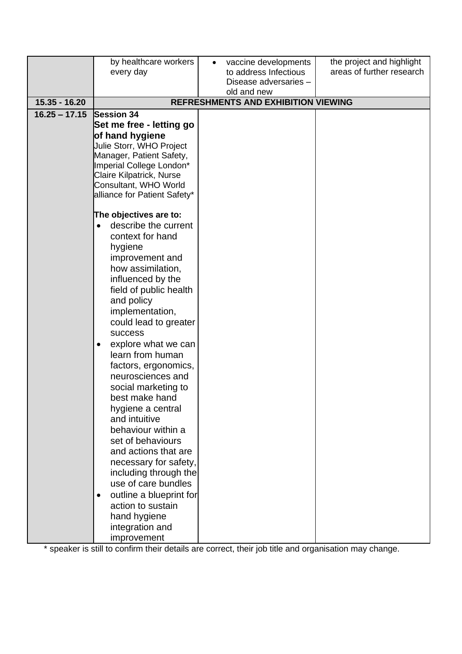|                 | by healthcare workers                    | vaccine developments                                      | the project and highlight |
|-----------------|------------------------------------------|-----------------------------------------------------------|---------------------------|
|                 | every day                                | to address Infectious                                     | areas of further research |
|                 |                                          | Disease adversaries -                                     |                           |
| $15.35 - 16.20$ |                                          | old and new<br><b>REFRESHMENTS AND EXHIBITION VIEWING</b> |                           |
| $16.25 - 17.15$ | <b>Session 34</b>                        |                                                           |                           |
|                 | Set me free - letting go                 |                                                           |                           |
|                 | of hand hygiene                          |                                                           |                           |
|                 | Julie Storr, WHO Project                 |                                                           |                           |
|                 | Manager, Patient Safety,                 |                                                           |                           |
|                 | Imperial College London*                 |                                                           |                           |
|                 | Claire Kilpatrick, Nurse                 |                                                           |                           |
|                 | Consultant, WHO World                    |                                                           |                           |
|                 | alliance for Patient Safety*             |                                                           |                           |
|                 | The objectives are to:                   |                                                           |                           |
|                 | describe the current                     |                                                           |                           |
|                 | context for hand                         |                                                           |                           |
|                 | hygiene                                  |                                                           |                           |
|                 | improvement and                          |                                                           |                           |
|                 | how assimilation,                        |                                                           |                           |
|                 | influenced by the                        |                                                           |                           |
|                 | field of public health                   |                                                           |                           |
|                 | and policy                               |                                                           |                           |
|                 | implementation,                          |                                                           |                           |
|                 | could lead to greater                    |                                                           |                           |
|                 | <b>success</b>                           |                                                           |                           |
|                 | explore what we can                      |                                                           |                           |
|                 | learn from human                         |                                                           |                           |
|                 | factors, ergonomics,                     |                                                           |                           |
|                 | neurosciences and<br>social marketing to |                                                           |                           |
|                 | best make hand                           |                                                           |                           |
|                 | hygiene a central                        |                                                           |                           |
|                 | and intuitive                            |                                                           |                           |
|                 | behaviour within a                       |                                                           |                           |
|                 | set of behaviours                        |                                                           |                           |
|                 | and actions that are                     |                                                           |                           |
|                 | necessary for safety,                    |                                                           |                           |
|                 | including through the                    |                                                           |                           |
|                 | use of care bundles                      |                                                           |                           |
|                 | outline a blueprint for<br>$\bullet$     |                                                           |                           |
|                 | action to sustain                        |                                                           |                           |
|                 | hand hygiene                             |                                                           |                           |
|                 | integration and                          |                                                           |                           |
|                 | improvement                              |                                                           |                           |

\* speaker is still to confirm their details are correct, their job title and organisation may change.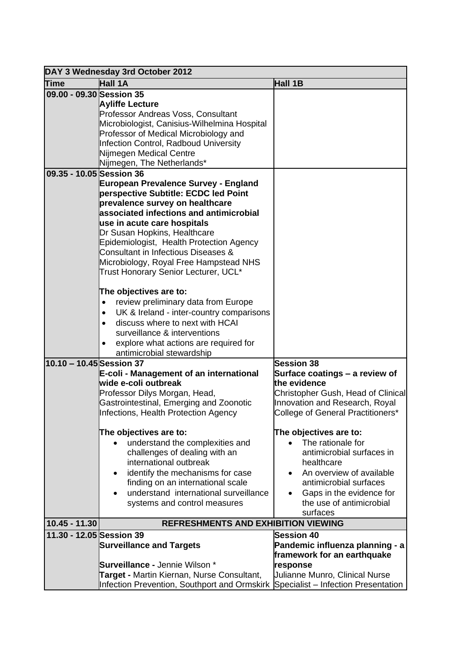|                          | DAY 3 Wednesday 3rd October 2012                                                                                                                                                                                                                                                                                                                                                                                                                                                                                                                                                                                                                                                                                                                                                                                                                                                                       |                                                                                                                                                                                                                  |
|--------------------------|--------------------------------------------------------------------------------------------------------------------------------------------------------------------------------------------------------------------------------------------------------------------------------------------------------------------------------------------------------------------------------------------------------------------------------------------------------------------------------------------------------------------------------------------------------------------------------------------------------------------------------------------------------------------------------------------------------------------------------------------------------------------------------------------------------------------------------------------------------------------------------------------------------|------------------------------------------------------------------------------------------------------------------------------------------------------------------------------------------------------------------|
| <b>Time</b>              | Hall 1A                                                                                                                                                                                                                                                                                                                                                                                                                                                                                                                                                                                                                                                                                                                                                                                                                                                                                                | Hall 1B                                                                                                                                                                                                          |
| 09.00 - 09.30 Session 35 | <b>Ayliffe Lecture</b><br>Professor Andreas Voss, Consultant<br>Microbiologist, Canisius-Wilhelmina Hospital<br>Professor of Medical Microbiology and<br>Infection Control, Radboud University<br>Nijmegen Medical Centre<br>Nijmegen, The Netherlands*                                                                                                                                                                                                                                                                                                                                                                                                                                                                                                                                                                                                                                                |                                                                                                                                                                                                                  |
| 09.35 - 10.05 Session 36 |                                                                                                                                                                                                                                                                                                                                                                                                                                                                                                                                                                                                                                                                                                                                                                                                                                                                                                        |                                                                                                                                                                                                                  |
| 10.10 - 10.45 Session 37 | <b>European Prevalence Survey - England</b><br>perspective Subtitle: ECDC led Point<br>prevalence survey on healthcare<br>associated infections and antimicrobial<br>use in acute care hospitals<br>Dr Susan Hopkins, Healthcare<br>Epidemiologist, Health Protection Agency<br>Consultant in Infectious Diseases &<br>Microbiology, Royal Free Hampstead NHS<br>Trust Honorary Senior Lecturer, UCL*<br>The objectives are to:<br>review preliminary data from Europe<br>$\bullet$<br>UK & Ireland - inter-country comparisons<br>$\bullet$<br>discuss where to next with HCAI<br>surveillance & interventions<br>explore what actions are required for<br>antimicrobial stewardship<br>E-coli - Management of an international<br>wide e-coli outbreak<br>Professor Dilys Morgan, Head,<br>Gastrointestinal, Emerging and Zoonotic<br>Infections, Health Protection Agency<br>The objectives are to: | <b>Session 38</b><br>Surface coatings - a review of<br>the evidence<br>Christopher Gush, Head of Clinical<br>Innovation and Research, Royal<br>College of General Practitioners*<br>The objectives are to:       |
|                          | understand the complexities and<br>challenges of dealing with an<br>international outbreak<br>identify the mechanisms for case<br>٠<br>finding on an international scale<br>understand international surveillance<br>systems and control measures                                                                                                                                                                                                                                                                                                                                                                                                                                                                                                                                                                                                                                                      | The rationale for<br>$\bullet$<br>antimicrobial surfaces in<br>healthcare<br>An overview of available<br>$\bullet$<br>antimicrobial surfaces<br>Gaps in the evidence for<br>the use of antimicrobial<br>surfaces |
| 10.45 - 11.30            | <b>REFRESHMENTS AND EXHIBITION VIEWING</b>                                                                                                                                                                                                                                                                                                                                                                                                                                                                                                                                                                                                                                                                                                                                                                                                                                                             |                                                                                                                                                                                                                  |
| 11.30 - 12.05 Session 39 | <b>Surveillance and Targets</b><br><b>Surveillance - Jennie Wilson *</b>                                                                                                                                                                                                                                                                                                                                                                                                                                                                                                                                                                                                                                                                                                                                                                                                                               | <b>Session 40</b><br>Pandemic influenza planning - a<br>framework for an earthquake<br>response                                                                                                                  |
|                          | <b>Target - Martin Kiernan, Nurse Consultant,</b><br>Infection Prevention, Southport and Ormskirk Specialist - Infection Presentation                                                                                                                                                                                                                                                                                                                                                                                                                                                                                                                                                                                                                                                                                                                                                                  | Julianne Munro, Clinical Nurse                                                                                                                                                                                   |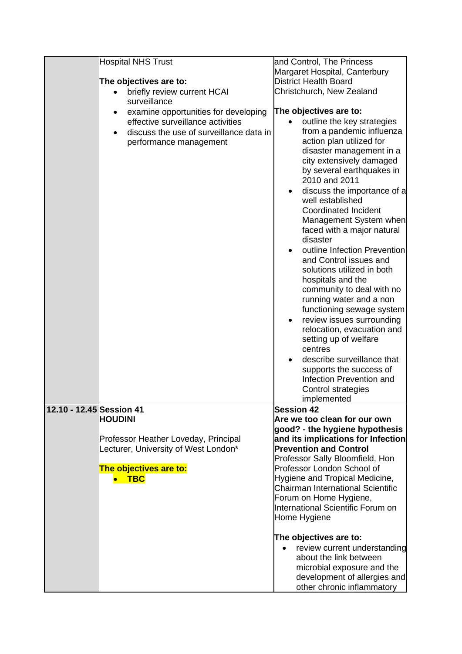|                          | <b>Hospital NHS Trust</b>                                                                                                                      | and Control, The Princess                                                                                                                                                                                                                                                                                                                                                                                                                            |
|--------------------------|------------------------------------------------------------------------------------------------------------------------------------------------|------------------------------------------------------------------------------------------------------------------------------------------------------------------------------------------------------------------------------------------------------------------------------------------------------------------------------------------------------------------------------------------------------------------------------------------------------|
|                          |                                                                                                                                                | Margaret Hospital, Canterbury                                                                                                                                                                                                                                                                                                                                                                                                                        |
|                          | The objectives are to:                                                                                                                         | <b>District Health Board</b>                                                                                                                                                                                                                                                                                                                                                                                                                         |
|                          | briefly review current HCAI<br>surveillance                                                                                                    | Christchurch, New Zealand                                                                                                                                                                                                                                                                                                                                                                                                                            |
|                          |                                                                                                                                                | The objectives are to:                                                                                                                                                                                                                                                                                                                                                                                                                               |
|                          | examine opportunities for developing<br>effective surveillance activities<br>discuss the use of surveillance data in<br>performance management | outline the key strategies<br>from a pandemic influenza<br>action plan utilized for<br>disaster management in a<br>city extensively damaged<br>by several earthquakes in<br>2010 and 2011<br>discuss the importance of a<br>$\bullet$<br>well established<br><b>Coordinated Incident</b><br>Management System when<br>faced with a major natural<br>disaster<br>outline Infection Prevention<br>and Control issues and<br>solutions utilized in both |
|                          |                                                                                                                                                | hospitals and the<br>community to deal with no<br>running water and a non<br>functioning sewage system<br>review issues surrounding<br>$\bullet$<br>relocation, evacuation and<br>setting up of welfare<br>centres<br>describe surveillance that<br>supports the success of<br>Infection Prevention and<br>Control strategies<br>implemented                                                                                                         |
| 12.10 - 12.45 Session 41 |                                                                                                                                                | <b>Session 42</b>                                                                                                                                                                                                                                                                                                                                                                                                                                    |
|                          | <b>HOUDINI</b><br>Professor Heather Loveday, Principal<br>Lecturer, University of West London*<br>The objectives are to:<br><b>TBC</b>         | Are we too clean for our own<br>good? - the hygiene hypothesis<br>and its implications for Infection<br><b>Prevention and Control</b><br>Professor Sally Bloomfield, Hon<br>Professor London School of<br>Hygiene and Tropical Medicine,<br>Chairman International Scientific<br>Forum on Home Hygiene,<br>International Scientific Forum on<br>Home Hygiene                                                                                         |
|                          |                                                                                                                                                | The objectives are to:<br>review current understanding<br>about the link between<br>microbial exposure and the<br>development of allergies and<br>other chronic inflammatory                                                                                                                                                                                                                                                                         |